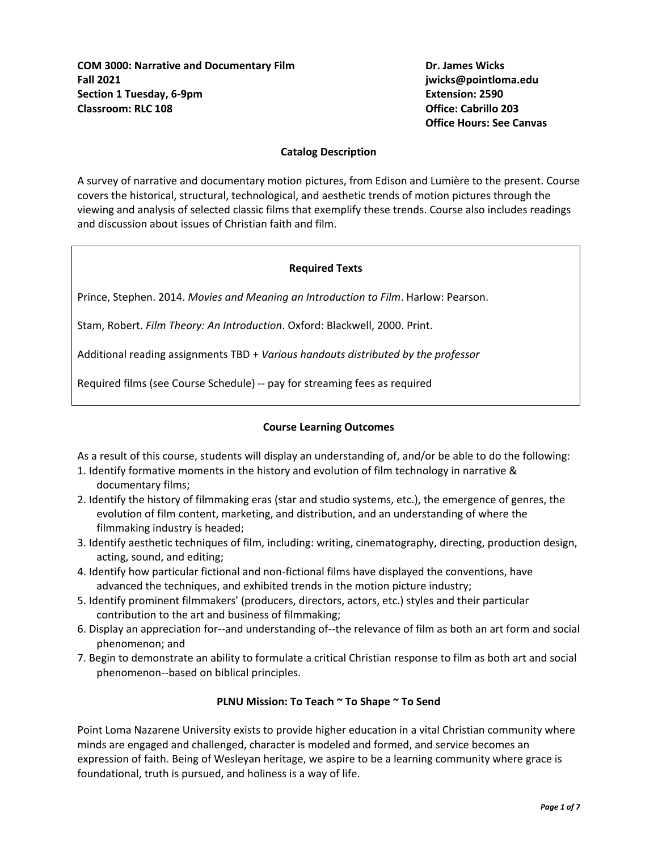**COM 3000: Narrative and Documentary Film Dr. James Wicks Fall 2021 jwicks@pointloma.edu Section 1 Tuesday, 6-9pm Extension: 2590 Classroom: RLC 108 Office: Cabrillo 203**

**Office Hours: See Canvas**

#### **Catalog Description**

A survey of narrative and documentary motion pictures, from Edison and Lumière to the present. Course covers the historical, structural, technological, and aesthetic trends of motion pictures through the viewing and analysis of selected classic films that exemplify these trends. Course also includes readings and discussion about issues of Christian faith and film.

#### **Required Texts**

Prince, Stephen. 2014. *Movies and Meaning an Introduction to Film*. Harlow: Pearson.

Stam, Robert. *Film Theory: An Introduction*. Oxford: Blackwell, 2000. Print.

Additional reading assignments TBD + *Various handouts distributed by the professor*

Required films (see Course Schedule) -- pay for streaming fees as required

### **Course Learning Outcomes**

As a result of this course, students will display an understanding of, and/or be able to do the following:

- 1. Identify formative moments in the history and evolution of film technology in narrative & documentary films;
- 2. Identify the history of filmmaking eras (star and studio systems, etc.), the emergence of genres, the evolution of film content, marketing, and distribution, and an understanding of where the filmmaking industry is headed;
- 3. Identify aesthetic techniques of film, including: writing, cinematography, directing, production design, acting, sound, and editing;
- 4. Identify how particular fictional and non-fictional films have displayed the conventions, have advanced the techniques, and exhibited trends in the motion picture industry;
- 5. Identify prominent filmmakers' (producers, directors, actors, etc.) styles and their particular contribution to the art and business of filmmaking;
- 6. Display an appreciation for--and understanding of--the relevance of film as both an art form and social phenomenon; and
- 7. Begin to demonstrate an ability to formulate a critical Christian response to film as both art and social phenomenon--based on biblical principles.

#### **PLNU Mission: To Teach ~ To Shape ~ To Send**

Point Loma Nazarene University exists to provide higher education in a vital Christian community where minds are engaged and challenged, character is modeled and formed, and service becomes an expression of faith. Being of Wesleyan heritage, we aspire to be a learning community where grace is foundational, truth is pursued, and holiness is a way of life.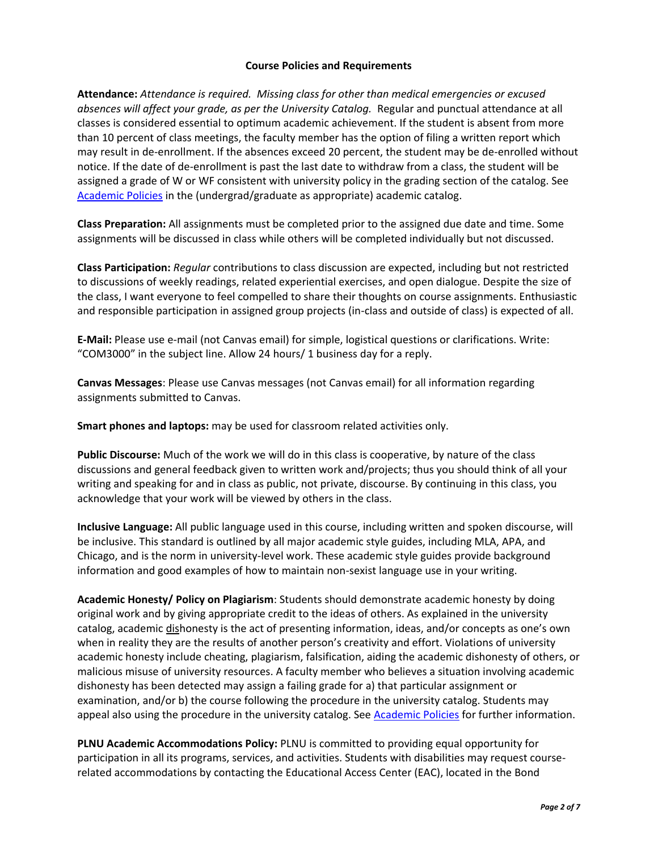#### **Course Policies and Requirements**

**Attendance:** *Attendance is required. Missing class for other than medical emergencies or excused absences will affect your grade, as per the University Catalog.* Regular and punctual attendance at all classes is considered essential to optimum academic achievement. If the student is absent from more than 10 percent of class meetings, the faculty member has the option of filing a written report which may result in de-enrollment. If the absences exceed 20 percent, the student may be de-enrolled without notice. If the date of de-enrollment is past the last date to withdraw from a class, the student will be assigned a grade of W or WF consistent with university policy in the grading section of the catalog. See [Academic Policies](http://catalog.pointloma.edu/content.php?catoid=24&navoid=1581) in the (undergrad/graduate as appropriate) academic catalog.

**Class Preparation:** All assignments must be completed prior to the assigned due date and time. Some assignments will be discussed in class while others will be completed individually but not discussed.

**Class Participation:** *Regular* contributions to class discussion are expected, including but not restricted to discussions of weekly readings, related experiential exercises, and open dialogue. Despite the size of the class, I want everyone to feel compelled to share their thoughts on course assignments. Enthusiastic and responsible participation in assigned group projects (in-class and outside of class) is expected of all.

**E-Mail:** Please use e-mail (not Canvas email) for simple, logistical questions or clarifications. Write: "COM3000" in the subject line. Allow 24 hours/ 1 business day for a reply.

**Canvas Messages**: Please use Canvas messages (not Canvas email) for all information regarding assignments submitted to Canvas.

**Smart phones and laptops:** may be used for classroom related activities only.

**Public Discourse:** Much of the work we will do in this class is cooperative, by nature of the class discussions and general feedback given to written work and/projects; thus you should think of all your writing and speaking for and in class as public, not private, discourse. By continuing in this class, you acknowledge that your work will be viewed by others in the class.

**Inclusive Language:** All public language used in this course, including written and spoken discourse, will be inclusive. This standard is outlined by all major academic style guides, including MLA, APA, and Chicago, and is the norm in university-level work. These academic style guides provide background information and good examples of how to maintain non-sexist language use in your writing.

**Academic Honesty/ Policy on Plagiarism**: Students should demonstrate academic honesty by doing original work and by giving appropriate credit to the ideas of others. As explained in the university catalog, academic dishonesty is the act of presenting information, ideas, and/or concepts as one's own when in reality they are the results of another person's creativity and effort. Violations of university academic honesty include cheating, plagiarism, falsification, aiding the academic dishonesty of others, or malicious misuse of university resources. A faculty member who believes a situation involving academic dishonesty has been detected may assign a failing grade for a) that particular assignment or examination, and/or b) the course following the procedure in the university catalog. Students may appeal also using the procedure in the university catalog. See [Academic Policies](http://catalog.pointloma.edu/content.php?catoid=24&navoid=1581#Academic_Honesty) for further information.

**PLNU Academic Accommodations Policy:** PLNU is committed to providing equal opportunity for participation in all its programs, services, and activities. Students with disabilities may request courserelated accommodations by contacting the Educational Access Center (EAC), located in the Bond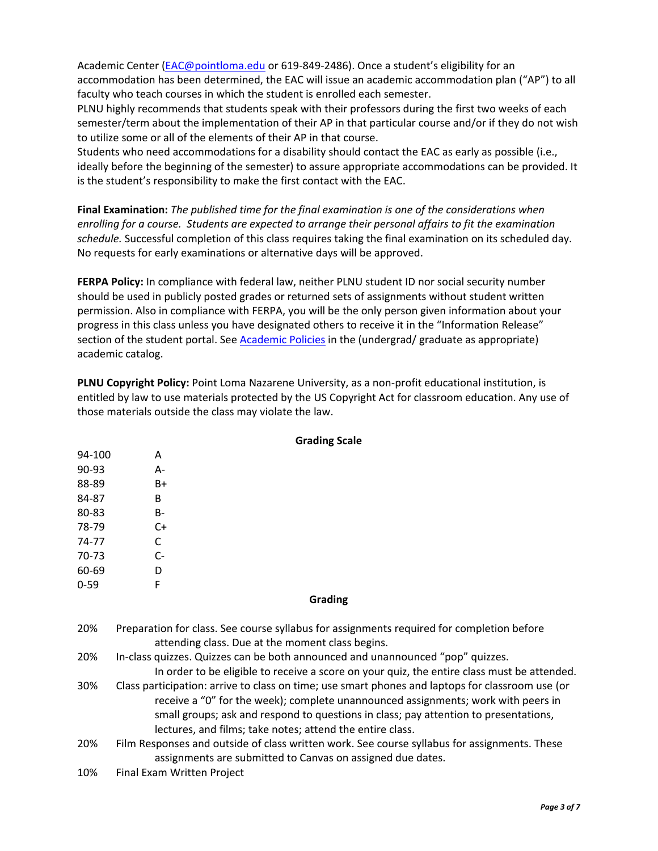Academic Center [\(EAC@pointloma.edu](mailto:EAC@pointloma.edu) or 619-849-2486). Once a student's eligibility for an accommodation has been determined, the EAC will issue an academic accommodation plan ("AP") to all faculty who teach courses in which the student is enrolled each semester.

PLNU highly recommends that students speak with their professors during the first two weeks of each semester/term about the implementation of their AP in that particular course and/or if they do not wish to utilize some or all of the elements of their AP in that course.

Students who need accommodations for a disability should contact the EAC as early as possible (i.e., ideally before the beginning of the semester) to assure appropriate accommodations can be provided. It is the student's responsibility to make the first contact with the EAC.

**Final Examination:** *The published time for the final examination is one of the considerations when enrolling for a course. Students are expected to arrange their personal affairs to fit the examination schedule.* Successful completion of this class requires taking the final examination on its scheduled day. No requests for early examinations or alternative days will be approved.

**FERPA Policy:** In compliance with federal law, neither PLNU student ID nor social security number should be used in publicly posted grades or returned sets of assignments without student written permission. Also in compliance with FERPA, you will be the only person given information about your progress in this class unless you have designated others to receive it in the "Information Release" section of the student portal. See [Academic Policies](http://catalog.pointloma.edu/content.php?catoid=24&navoid=1581) in the (undergrad/ graduate as appropriate) academic catalog.

**PLNU Copyright Policy:** Point Loma Nazarene University, as a non-profit educational institution, is entitled by law to use materials protected by the US Copyright Act for classroom education. Any use of those materials outside the class may violate the law.

| 94-100   | A                                                                                                                                                                                                                                                                                                                                          |  |  |
|----------|--------------------------------------------------------------------------------------------------------------------------------------------------------------------------------------------------------------------------------------------------------------------------------------------------------------------------------------------|--|--|
| $90-93$  | А-                                                                                                                                                                                                                                                                                                                                         |  |  |
| 88-89    | $B+$                                                                                                                                                                                                                                                                                                                                       |  |  |
| 84-87    | B                                                                                                                                                                                                                                                                                                                                          |  |  |
| 80-83    | <b>B-</b>                                                                                                                                                                                                                                                                                                                                  |  |  |
| 78-79    | $C+$                                                                                                                                                                                                                                                                                                                                       |  |  |
| 74-77    | C                                                                                                                                                                                                                                                                                                                                          |  |  |
| 70-73    | $C-$                                                                                                                                                                                                                                                                                                                                       |  |  |
| 60-69    | D                                                                                                                                                                                                                                                                                                                                          |  |  |
| $0 - 59$ | F                                                                                                                                                                                                                                                                                                                                          |  |  |
| Grading  |                                                                                                                                                                                                                                                                                                                                            |  |  |
| 20%      | Preparation for class. See course syllabus for assignments required for completion before<br>attending class. Due at the moment class begins.                                                                                                                                                                                              |  |  |
| 20%      | In-class quizzes. Quizzes can be both announced and unannounced "pop" quizzes.<br>In order to be eligible to receive a score on your quiz, the entire class must be attended.                                                                                                                                                              |  |  |
| 30%      | Class participation: arrive to class on time; use smart phones and laptops for classroom use (or<br>receive a "0" for the week); complete unannounced assignments; work with peers in<br>small groups; ask and respond to questions in class; pay attention to presentations,<br>lectures, and films; take notes; attend the entire class. |  |  |
| 20%      | Film Responses and outside of class written work. See course syllabus for assignments. These<br>assignments are submitted to Canvas on assigned due dates.                                                                                                                                                                                 |  |  |

**Grading Scale**

10% Final Exam Written Project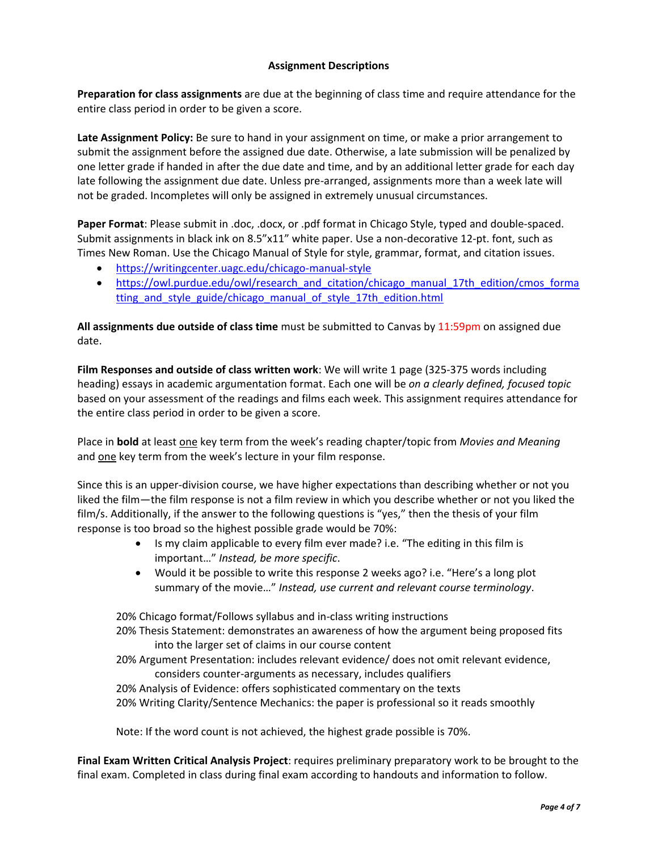## **Assignment Descriptions**

**Preparation for class assignments** are due at the beginning of class time and require attendance for the entire class period in order to be given a score.

**Late Assignment Policy:** Be sure to hand in your assignment on time, or make a prior arrangement to submit the assignment before the assigned due date. Otherwise, a late submission will be penalized by one letter grade if handed in after the due date and time, and by an additional letter grade for each day late following the assignment due date. Unless pre-arranged, assignments more than a week late will not be graded. Incompletes will only be assigned in extremely unusual circumstances.

Paper Format: Please submit in .doc, .docx, or .pdf format in Chicago Style, typed and double-spaced. Submit assignments in black ink on 8.5"x11" white paper. Use a non-decorative 12-pt. font, such as Times New Roman. Use the Chicago Manual of Style for style, grammar, format, and citation issues.

- <https://writingcenter.uagc.edu/chicago-manual-style>
- [https://owl.purdue.edu/owl/research\\_and\\_citation/chicago\\_manual\\_17th\\_edition/cmos\\_forma](https://owl.purdue.edu/owl/research_and_citation/chicago_manual_17th_edition/cmos_formatting_and_style_guide/chicago_manual_of_style_17th_edition.html) tting and style guide/chicago manual of style 17th edition.html

**All assignments due outside of class time** must be submitted to Canvas by 11:59pm on assigned due date.

**Film Responses and outside of class written work**: We will write 1 page (325-375 words including heading) essays in academic argumentation format. Each one will be *on a clearly defined, focused topic* based on your assessment of the readings and films each week. This assignment requires attendance for the entire class period in order to be given a score.

Place in **bold** at least one key term from the week's reading chapter/topic from *Movies and Meaning* and one key term from the week's lecture in your film response.

Since this is an upper-division course, we have higher expectations than describing whether or not you liked the film—the film response is not a film review in which you describe whether or not you liked the film/s. Additionally, if the answer to the following questions is "yes," then the thesis of your film response is too broad so the highest possible grade would be 70%:

- Is my claim applicable to every film ever made? i.e. "The editing in this film is important…" *Instead, be more specific*.
- Would it be possible to write this response 2 weeks ago? i.e. "Here's a long plot summary of the movie…" *Instead, use current and relevant course terminology*.

20% Chicago format/Follows syllabus and in-class writing instructions 20% Thesis Statement: demonstrates an awareness of how the argument being proposed fits into the larger set of claims in our course content

20% Argument Presentation: includes relevant evidence/ does not omit relevant evidence, considers counter-arguments as necessary, includes qualifiers

20% Analysis of Evidence: offers sophisticated commentary on the texts 20% Writing Clarity/Sentence Mechanics: the paper is professional so it reads smoothly

Note: If the word count is not achieved, the highest grade possible is 70%.

**Final Exam Written Critical Analysis Project**: requires preliminary preparatory work to be brought to the final exam. Completed in class during final exam according to handouts and information to follow.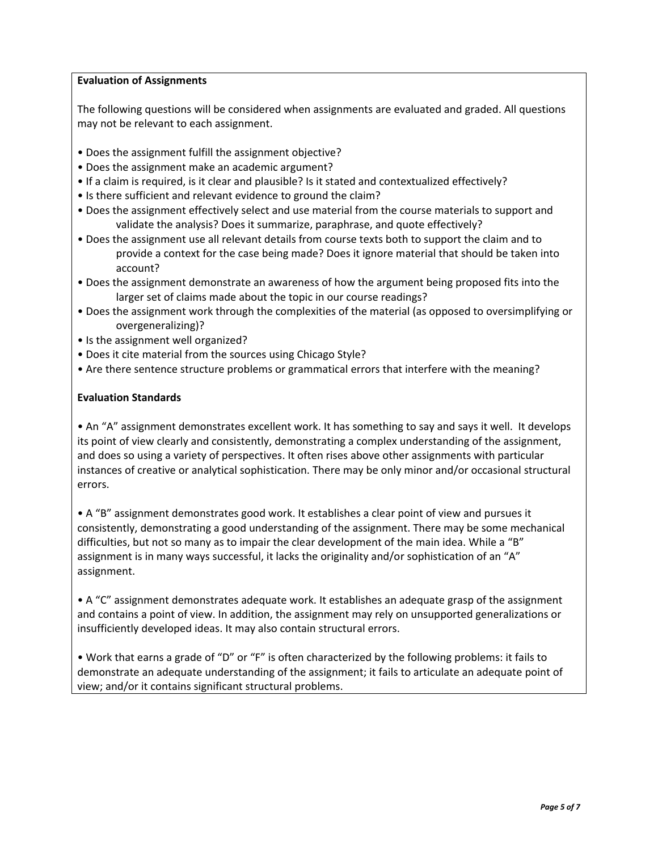## **Evaluation of Assignments**

The following questions will be considered when assignments are evaluated and graded. All questions may not be relevant to each assignment.

- Does the assignment fulfill the assignment objective?
- Does the assignment make an academic argument?
- If a claim is required, is it clear and plausible? Is it stated and contextualized effectively?
- Is there sufficient and relevant evidence to ground the claim?
- Does the assignment effectively select and use material from the course materials to support and validate the analysis? Does it summarize, paraphrase, and quote effectively?
- Does the assignment use all relevant details from course texts both to support the claim and to provide a context for the case being made? Does it ignore material that should be taken into account?
- Does the assignment demonstrate an awareness of how the argument being proposed fits into the larger set of claims made about the topic in our course readings?
- Does the assignment work through the complexities of the material (as opposed to oversimplifying or overgeneralizing)?
- Is the assignment well organized?
- Does it cite material from the sources using Chicago Style?
- Are there sentence structure problems or grammatical errors that interfere with the meaning?

## **Evaluation Standards**

• An "A" assignment demonstrates excellent work. It has something to say and says it well. It develops its point of view clearly and consistently, demonstrating a complex understanding of the assignment, and does so using a variety of perspectives. It often rises above other assignments with particular instances of creative or analytical sophistication. There may be only minor and/or occasional structural errors.

• A "B" assignment demonstrates good work. It establishes a clear point of view and pursues it consistently, demonstrating a good understanding of the assignment. There may be some mechanical difficulties, but not so many as to impair the clear development of the main idea. While a "B" assignment is in many ways successful, it lacks the originality and/or sophistication of an "A" assignment.

• A "C" assignment demonstrates adequate work. It establishes an adequate grasp of the assignment and contains a point of view. In addition, the assignment may rely on unsupported generalizations or insufficiently developed ideas. It may also contain structural errors.

• Work that earns a grade of "D" or "F" is often characterized by the following problems: it fails to demonstrate an adequate understanding of the assignment; it fails to articulate an adequate point of view; and/or it contains significant structural problems.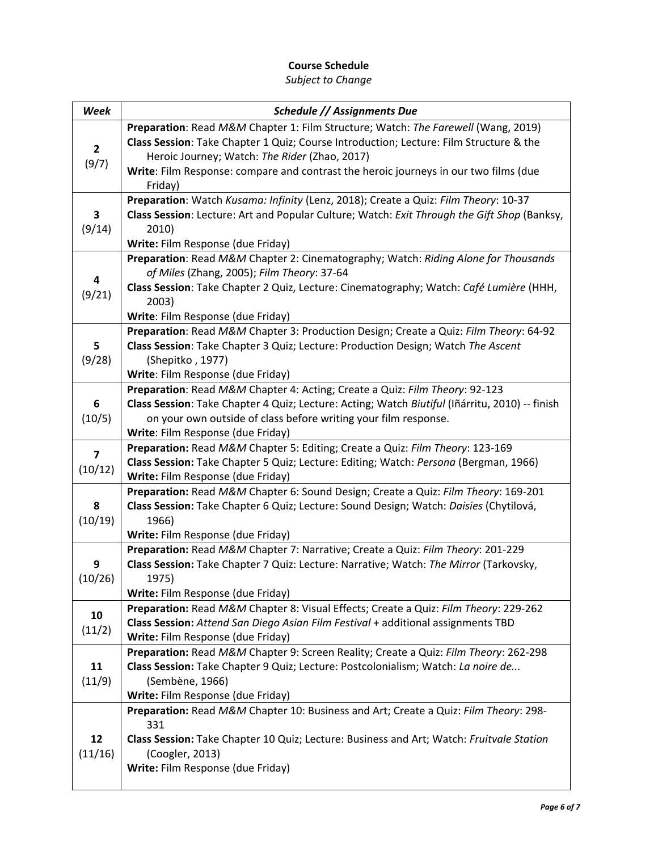# **Course Schedule**

| Week         | Schedule // Assignments Due                                                                                                                                                        |
|--------------|------------------------------------------------------------------------------------------------------------------------------------------------------------------------------------|
|              | Preparation: Read M&M Chapter 1: Film Structure; Watch: The Farewell (Wang, 2019)                                                                                                  |
| $\mathbf{2}$ | Class Session: Take Chapter 1 Quiz; Course Introduction; Lecture: Film Structure & the                                                                                             |
| (9/7)        | Heroic Journey; Watch: The Rider (Zhao, 2017)                                                                                                                                      |
|              | Write: Film Response: compare and contrast the heroic journeys in our two films (due                                                                                               |
|              | Friday)                                                                                                                                                                            |
| 3            | Preparation: Watch Kusama: Infinity (Lenz, 2018); Create a Quiz: Film Theory: 10-37<br>Class Session: Lecture: Art and Popular Culture; Watch: Exit Through the Gift Shop (Banksy, |
| (9/14)       | 2010)                                                                                                                                                                              |
|              | Write: Film Response (due Friday)                                                                                                                                                  |
|              | Preparation: Read M&M Chapter 2: Cinematography; Watch: Riding Alone for Thousands                                                                                                 |
| 4            | of Miles (Zhang, 2005); Film Theory: 37-64                                                                                                                                         |
| (9/21)       | Class Session: Take Chapter 2 Quiz, Lecture: Cinematography; Watch: Café Lumière (HHH,                                                                                             |
|              | 2003)                                                                                                                                                                              |
|              | Write: Film Response (due Friday)                                                                                                                                                  |
| 5            | Preparation: Read M&M Chapter 3: Production Design; Create a Quiz: Film Theory: 64-92<br>Class Session: Take Chapter 3 Quiz; Lecture: Production Design; Watch The Ascent          |
| (9/28)       | (Shepitko, 1977)                                                                                                                                                                   |
|              | Write: Film Response (due Friday)                                                                                                                                                  |
|              | Preparation: Read M&M Chapter 4: Acting; Create a Quiz: Film Theory: 92-123                                                                                                        |
| 6            | Class Session: Take Chapter 4 Quiz; Lecture: Acting; Watch Biutiful (Iñárritu, 2010) -- finish                                                                                     |
| (10/5)       | on your own outside of class before writing your film response.                                                                                                                    |
|              | Write: Film Response (due Friday)                                                                                                                                                  |
| 7            | Preparation: Read M&M Chapter 5: Editing; Create a Quiz: Film Theory: 123-169                                                                                                      |
| (10/12)      | Class Session: Take Chapter 5 Quiz; Lecture: Editing; Watch: Persona (Bergman, 1966)<br>Write: Film Response (due Friday)                                                          |
|              | Preparation: Read M&M Chapter 6: Sound Design; Create a Quiz: Film Theory: 169-201                                                                                                 |
| 8<br>(10/19) | Class Session: Take Chapter 6 Quiz; Lecture: Sound Design; Watch: Daisies (Chytilová,                                                                                              |
|              | 1966)                                                                                                                                                                              |
|              | Write: Film Response (due Friday)                                                                                                                                                  |
|              | Preparation: Read M&M Chapter 7: Narrative; Create a Quiz: Film Theory: 201-229                                                                                                    |
| 9<br>(10/26) | Class Session: Take Chapter 7 Quiz: Lecture: Narrative; Watch: The Mirror (Tarkovsky,                                                                                              |
|              | 1975)<br>Write: Film Response (due Friday)                                                                                                                                         |
|              | Preparation: Read M&M Chapter 8: Visual Effects; Create a Quiz: Film Theory: 229-262                                                                                               |
| 10           | Class Session: Attend San Diego Asian Film Festival + additional assignments TBD                                                                                                   |
| (11/2)       | Write: Film Response (due Friday)                                                                                                                                                  |
|              | Preparation: Read M&M Chapter 9: Screen Reality; Create a Quiz: Film Theory: 262-298                                                                                               |
| 11           | Class Session: Take Chapter 9 Quiz; Lecture: Postcolonialism; Watch: La noire de                                                                                                   |
| (11/9)       | (Sembène, 1966)                                                                                                                                                                    |
|              | Write: Film Response (due Friday)<br>Preparation: Read M&M Chapter 10: Business and Art; Create a Quiz: Film Theory: 298-                                                          |
| 12           | 331                                                                                                                                                                                |
|              | Class Session: Take Chapter 10 Quiz; Lecture: Business and Art; Watch: Fruitvale Station                                                                                           |
| (11/16)      | (Coogler, 2013)                                                                                                                                                                    |
|              | Write: Film Response (due Friday)                                                                                                                                                  |
|              |                                                                                                                                                                                    |